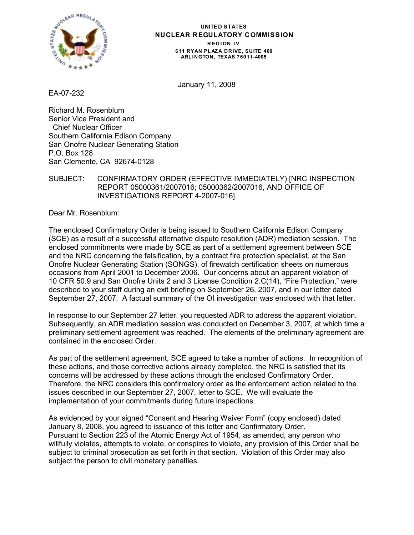

#### **UNITED STATES NUCLEAR REGULATORY COMMISSION REGION IV 611 RYAN PL AZA DRIVE, SUITE 400 ARLINGTON, TEXAS 76011-4005**

January 11, 2008

EA-07-232

Richard M. Rosenblum Senior Vice President and Chief Nuclear Officer Southern California Edison Company San Onofre Nuclear Generating Station P.O. Box 128 San Clemente, CA 92674-0128

# SUBJECT: CONFIRMATORY ORDER (EFFECTIVE IMMEDIATELY) [NRC INSPECTION REPORT 05000361/2007016; 05000362/2007016, AND OFFICE OF INVESTIGATIONS REPORT 4-2007-016]

Dear Mr. Rosenblum:

The enclosed Confirmatory Order is being issued to Southern California Edison Company (SCE) as a result of a successful alternative dispute resolution (ADR) mediation session. The enclosed commitments were made by SCE as part of a settlement agreement between SCE and the NRC concerning the falsification, by a contract fire protection specialist, at the San Onofre Nuclear Generating Station (SONGS), of firewatch certification sheets on numerous occasions from April 2001 to December 2006. Our concerns about an apparent violation of 10 CFR 50.9 and San Onofre Units 2 and 3 License Condition 2.C(14), "Fire Protection," were described to your staff during an exit briefing on September 26, 2007, and in our letter dated September 27, 2007. A factual summary of the OI investigation was enclosed with that letter.

In response to our September 27 letter, you requested ADR to address the apparent violation. Subsequently, an ADR mediation session was conducted on December 3, 2007, at which time a preliminary settlement agreement was reached. The elements of the preliminary agreement are contained in the enclosed Order.

As part of the settlement agreement, SCE agreed to take a number of actions. In recognition of these actions, and those corrective actions already completed, the NRC is satisfied that its concerns will be addressed by these actions through the enclosed Confirmatory Order. Therefore, the NRC considers this confirmatory order as the enforcement action related to the issues described in our September 27, 2007, letter to SCE. We will evaluate the implementation of your commitments during future inspections.

As evidenced by your signed "Consent and Hearing Waiver Form" (copy enclosed) dated January 8, 2008, you agreed to issuance of this letter and Confirmatory Order. Pursuant to Section 223 of the Atomic Energy Act of 1954, as amended, any person who willfully violates, attempts to violate, or conspires to violate, any provision of this Order shall be subject to criminal prosecution as set forth in that section. Violation of this Order may also subject the person to civil monetary penalties.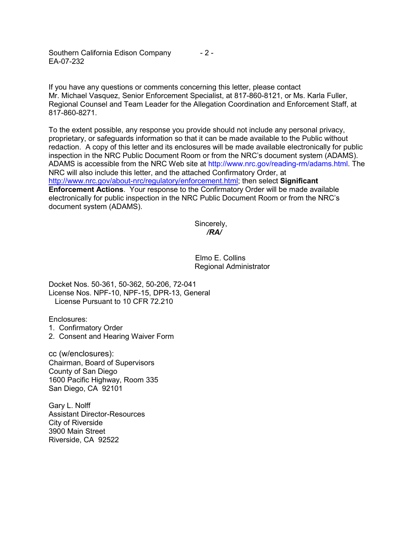Southern California Edison Company - 2 - EA-07-232

If you have any questions or comments concerning this letter, please contact Mr. Michael Vasquez, Senior Enforcement Specialist, at 817-860-8121, or Ms. Karla Fuller, Regional Counsel and Team Leader for the Allegation Coordination and Enforcement Staff, at 817-860-8271.

To the extent possible, any response you provide should not include any personal privacy, proprietary, or safeguards information so that it can be made available to the Public without redaction. A copy of this letter and its enclosures will be made available electronically for public inspection in the NRC Public Document Room or from the NRC's document system (ADAMS). ADAMS is accessible from the NRC Web site at http://www.nrc.gov/reading-rm/adams.html. The NRC will also include this letter, and the attached Confirmatory Order, at http://www.nrc.gov/about-nrc/regulatory/enforcement.html; then select **Significant Enforcement Actions**. Your response to the Confirmatory Order will be made available electronically for public inspection in the NRC Public Document Room or from the NRC's document system (ADAMS).

> Sincerely, */RA/*

Elmo E. Collins Regional Administrator

Docket Nos. 50-361, 50-362, 50-206, 72-041 License Nos. NPF-10, NPF-15, DPR-13, General License Pursuant to 10 CFR 72.210

Enclosures:

- 1. Confirmatory Order
- 2. Consent and Hearing Waiver Form

cc (w/enclosures): Chairman, Board of Supervisors County of San Diego 1600 Pacific Highway, Room 335 San Diego, CA 92101

Gary L. Nolff Assistant Director-Resources City of Riverside 3900 Main Street Riverside, CA 92522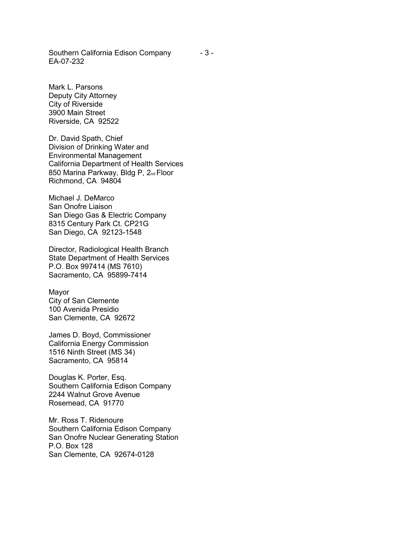Southern California Edison Company EA-07-232

Mark L. Parsons Deputy City Attorney City of Riverside 3900 Main Street Riverside, CA 92522

Dr. David Spath, Chief Division of Drinking Water and Environmental Management California Department of Health Services 850 Marina Parkway, Bldg P, 2nd Floor Richmond, CA 94804

Michael J. DeMarco San Onofre Liaison San Diego Gas & Electric Company 8315 Century Park Ct. CP21G San Diego, CA 92123-1548

Director, Radiological Health Branch State Department of Health Services P.O. Box 997414 (MS 7610) Sacramento, CA 95899-7414

Mayor City of San Clemente 100 Avenida Presidio San Clemente, CA 92672

James D. Boyd, Commissioner California Energy Commission 1516 Ninth Street (MS 34) Sacramento, CA 95814

Douglas K. Porter, Esq. Southern California Edison Company 2244 Walnut Grove Avenue Rosemead, CA 91770

Mr. Ross T. Ridenoure Southern California Edison Company San Onofre Nuclear Generating Station P.O. Box 128 San Clemente, CA 92674-0128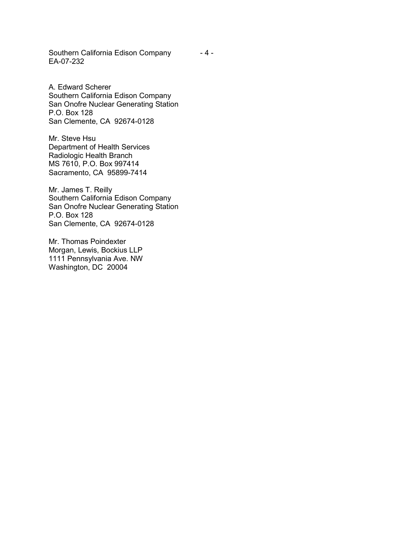Southern California Edison Company EA-07-232

A. Edward Scherer Southern California Edison Company San Onofre Nuclear Generating Station P.O. Box 128 San Clemente, CA 92674-0128

Mr. Steve Hsu Department of Health Services Radiologic Health Branch MS 7610, P.O. Box 997414 Sacramento, CA 95899-7414

Mr. James T. Reilly Southern California Edison Company San Onofre Nuclear Generating Station P.O. Box 128 San Clemente, CA 92674-0128

Mr. Thomas Poindexter Morgan, Lewis, Bockius LLP 1111 Pennsylvania Ave. NW Washington, DC 20004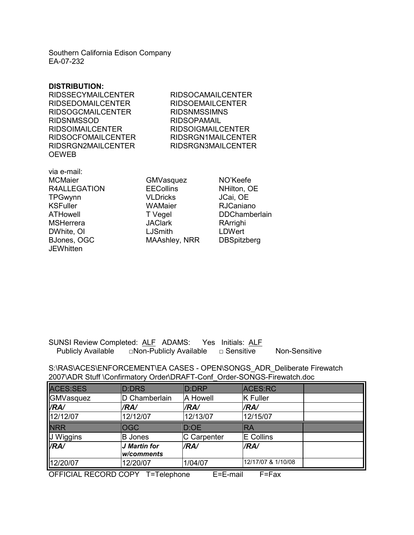Southern California Edison Company EA-07-232

#### **DISTRIBUTION:**

| <b>RIDSSECYMAILCENTER</b> | <b>RIDSOCAMAILCENTER</b> |
|---------------------------|--------------------------|
| <b>RIDSEDOMAILCENTER</b>  | <b>RIDSOEMAILCENTER</b>  |
| <b>RIDSOGCMAILCENTER</b>  | <b>RIDSNMSSIMNS</b>      |
| <b>RIDSNMSSOD</b>         | <b>RIDSOPAMAIL</b>       |
| <b>RIDSOIMAILCENTER</b>   | <b>RIDSOIGMAILCENTER</b> |
| <b>RIDSOCFOMAILCENTER</b> | RIDSRGN1MAILCENTER       |
| RIDSRGN2MAILCENTER        | RIDSRGN3MAILCENTER       |
| <b>OEWEB</b>              |                          |

via e-mail: MCMaier GMVasquez NO'Keefe R4ALLEGATION EECollins NHilton, OE TPGwynn VLDricks JCai, OE KSFuller WAMaier RJCaniano ATHowell T Vegel DDChamberlain MSHerrera **MSHerrera** JAClark RArrighi<br>DWhite, OI LJSmith LDWert DWhite, OI LJSmith BJones, OGC MAAshley, NRR DBSpitzberg **JEWhitten** 

## SUNSI Review Completed: ALF ADAMS: Yes Initials: ALF Publicly Available □Non-Publicly Available □ Sensitive Non-Sensitive

S:\RAS\ACES\ENFORCEMENT\EA CASES - OPEN\SONGS\_ADR\_Deliberate Firewatch 2007\ADR Stuff \Confirmatory Order\DRAFT-Conf\_Order-SONGS-Firewatch.doc

| ACES:SES    | D:DRS          | D:DRP              | ACES:RC            |  |
|-------------|----------------|--------------------|--------------------|--|
| GMVasquez   | D Chamberlain  | A Howell           | <b>K</b> Fuller    |  |
| <b>VRA/</b> | /RA/           | /RA/               | /RA/               |  |
| 12/12/07    | 12/12/07       | 12/13/07           | 12/15/07           |  |
| <b>NRR</b>  | <b>OGC</b>     | D:OE               | <b>IRA</b>         |  |
| J Wiggins   | <b>B</b> Jones | <b>C</b> Carpenter | <b>E</b> Collins   |  |
| <b>VRA/</b> | J Martin for   | /RA/               | /RA/               |  |
|             | w/comments     |                    |                    |  |
| 12/20/07    | 12/20/07       | 1/04/07            | 12/17/07 & 1/10/08 |  |

OFFICIAL RECORD COPY T=Telephone E=E-mail F=Fax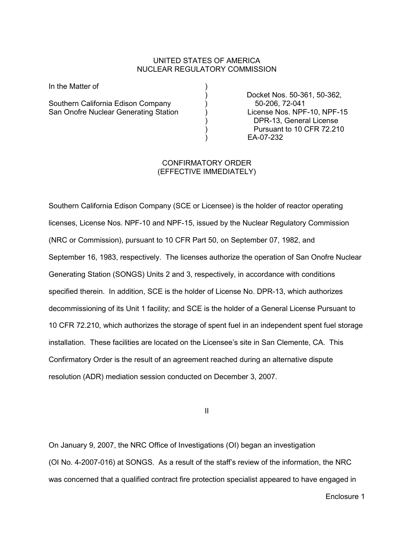### UNITED STATES OF AMERICA NUCLEAR REGULATORY COMMISSION

In the Matter of (1)

Southern California Edison Company (Southern California Edison Company (Southern 2006, 72-041)<br>
San Onofre Nuclear Generating Station (Southern 2006) (Southern 2006, NPF-10, NPF-15 San Onofre Nuclear Generating Station (1)

 ) Docket Nos. 50-361, 50-362, ) DPR-13, General License ) Pursuant to 10 CFR 72.210 ) EA-07-232

## CONFIRMATORY ORDER (EFFECTIVE IMMEDIATELY)

Southern California Edison Company (SCE or Licensee) is the holder of reactor operating licenses, License Nos. NPF-10 and NPF-15, issued by the Nuclear Regulatory Commission (NRC or Commission), pursuant to 10 CFR Part 50, on September 07, 1982, and September 16, 1983, respectively. The licenses authorize the operation of San Onofre Nuclear Generating Station (SONGS) Units 2 and 3, respectively, in accordance with conditions specified therein. In addition, SCE is the holder of License No. DPR-13, which authorizes decommissioning of its Unit 1 facility; and SCE is the holder of a General License Pursuant to 10 CFR 72.210, which authorizes the storage of spent fuel in an independent spent fuel storage installation. These facilities are located on the Licensee's site in San Clemente, CA. This Confirmatory Order is the result of an agreement reached during an alternative dispute resolution (ADR) mediation session conducted on December 3, 2007.

II

On January 9, 2007, the NRC Office of Investigations (OI) began an investigation (OI No. 4-2007-016) at SONGS. As a result of the staff's review of the information, the NRC was concerned that a qualified contract fire protection specialist appeared to have engaged in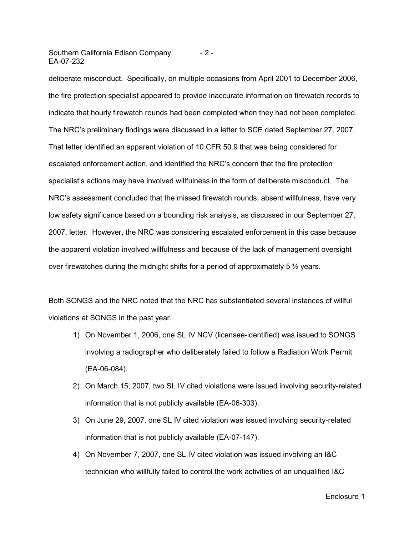Southern California Edison Company EA-07-232 - 2 -

deliberate misconduct. Specifically, on multiple occasions from April 2001 to December 2006, the fire protection specialist appeared to provide inaccurate information on firewatch records to indicate that hourly firewatch rounds had been completed when they had not been completed. The NRC's preliminary findings were discussed in a letter to SCE dated September 27, 2007. That letter identified an apparent violation of 10 CFR 50.9 that was being considered for escalated enforcement action, and identified the NRC's concern that the fire protection specialist's actions may have involved willfulness in the form of deliberate misconduct. The NRC's assessment concluded that the missed firewatch rounds, absent willfulness, have very low safety significance based on a bounding risk analysis, as discussed in our September 27, 2007, letter. However, the NRC was considering escalated enforcement in this case because the apparent violation involved willfulness and because of the lack of management oversight over firewatches during the midnight shifts for a period of approximately 5  $\frac{1}{2}$  years.

Both SONGS and the NRC noted that the NRC has substantiated several instances of willful violations at SONGS in the past year.

- 1) On November 1, 2006, one SL IV NCV (licensee-identified) was issued to SONGS involving a radiographer who deliberately failed to follow a Radiation Work Permit (EA-06-084).
- 2) On March 15, 2007, two SL IV cited violations were issued involving security-related information that is not publicly available (EA-06-303).
- 3) On June 29, 2007, one SL IV cited violation was issued involving security-related information that is not publicly available (EA-07-147).
- 4) On November 7, 2007, one SL IV cited violation was issued involving an I&C technician who willfully failed to control the work activities of an unqualified I&C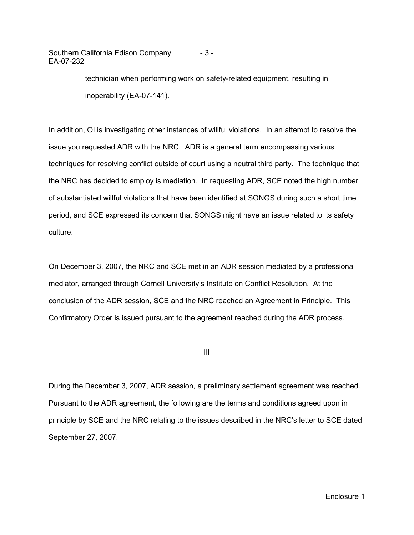Southern California Edison Company EA-07-232 - 3 -

> technician when performing work on safety-related equipment, resulting in inoperability (EA-07-141).

In addition, OI is investigating other instances of willful violations. In an attempt to resolve the issue you requested ADR with the NRC. ADR is a general term encompassing various techniques for resolving conflict outside of court using a neutral third party. The technique that the NRC has decided to employ is mediation. In requesting ADR, SCE noted the high number of substantiated willful violations that have been identified at SONGS during such a short time period, and SCE expressed its concern that SONGS might have an issue related to its safety culture.

On December 3, 2007, the NRC and SCE met in an ADR session mediated by a professional mediator, arranged through Cornell University's Institute on Conflict Resolution. At the conclusion of the ADR session, SCE and the NRC reached an Agreement in Principle. This Confirmatory Order is issued pursuant to the agreement reached during the ADR process.

III

During the December 3, 2007, ADR session, a preliminary settlement agreement was reached. Pursuant to the ADR agreement, the following are the terms and conditions agreed upon in principle by SCE and the NRC relating to the issues described in the NRC's letter to SCE dated September 27, 2007.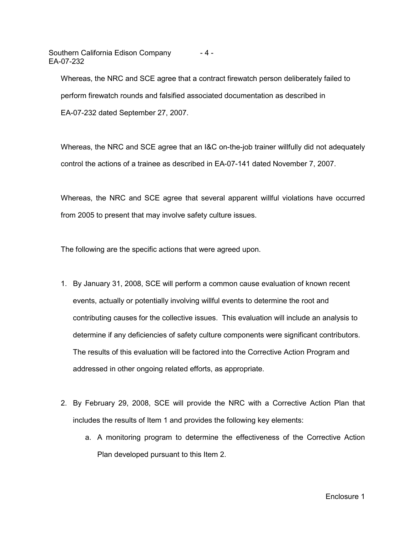Southern California Edison Company EA-07-232  $- 4 -$ 

Whereas, the NRC and SCE agree that a contract firewatch person deliberately failed to perform firewatch rounds and falsified associated documentation as described in EA-07-232 dated September 27, 2007.

Whereas, the NRC and SCE agree that an I&C on-the-job trainer willfully did not adequately control the actions of a trainee as described in EA-07-141 dated November 7, 2007.

Whereas, the NRC and SCE agree that several apparent willful violations have occurred from 2005 to present that may involve safety culture issues.

The following are the specific actions that were agreed upon.

- 1. By January 31, 2008, SCE will perform a common cause evaluation of known recent events, actually or potentially involving willful events to determine the root and contributing causes for the collective issues. This evaluation will include an analysis to determine if any deficiencies of safety culture components were significant contributors. The results of this evaluation will be factored into the Corrective Action Program and addressed in other ongoing related efforts, as appropriate.
- 2. By February 29, 2008, SCE will provide the NRC with a Corrective Action Plan that includes the results of Item 1 and provides the following key elements:
	- a. A monitoring program to determine the effectiveness of the Corrective Action Plan developed pursuant to this Item 2.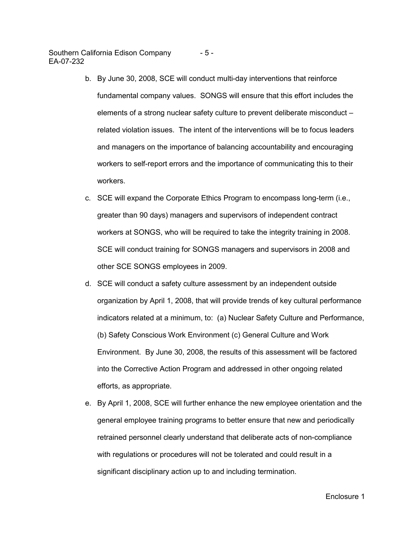Southern California Edison Company EA-07-232 - 5 -

- b. By June 30, 2008, SCE will conduct multi-day interventions that reinforce fundamental company values. SONGS will ensure that this effort includes the elements of a strong nuclear safety culture to prevent deliberate misconduct – related violation issues. The intent of the interventions will be to focus leaders and managers on the importance of balancing accountability and encouraging workers to self-report errors and the importance of communicating this to their workers.
- c. SCE will expand the Corporate Ethics Program to encompass long-term (i.e., greater than 90 days) managers and supervisors of independent contract workers at SONGS, who will be required to take the integrity training in 2008. SCE will conduct training for SONGS managers and supervisors in 2008 and other SCE SONGS employees in 2009.
- d. SCE will conduct a safety culture assessment by an independent outside organization by April 1, 2008, that will provide trends of key cultural performance indicators related at a minimum, to: (a) Nuclear Safety Culture and Performance, (b) Safety Conscious Work Environment (c) General Culture and Work Environment. By June 30, 2008, the results of this assessment will be factored into the Corrective Action Program and addressed in other ongoing related efforts, as appropriate.
- e. By April 1, 2008, SCE will further enhance the new employee orientation and the general employee training programs to better ensure that new and periodically retrained personnel clearly understand that deliberate acts of non-compliance with regulations or procedures will not be tolerated and could result in a significant disciplinary action up to and including termination.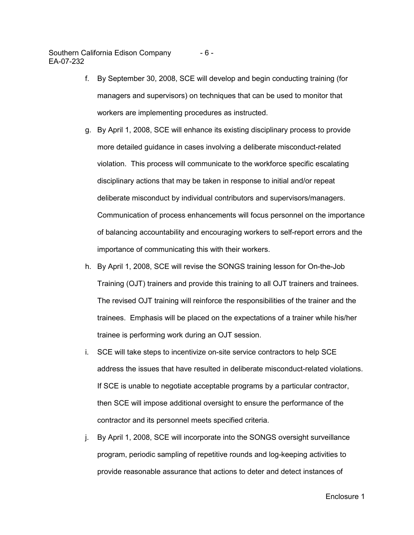Southern California Edison Company EA-07-232 - 6 -

- f. By September 30, 2008, SCE will develop and begin conducting training (for managers and supervisors) on techniques that can be used to monitor that workers are implementing procedures as instructed.
- g. By April 1, 2008, SCE will enhance its existing disciplinary process to provide more detailed guidance in cases involving a deliberate misconduct-related violation. This process will communicate to the workforce specific escalating disciplinary actions that may be taken in response to initial and/or repeat deliberate misconduct by individual contributors and supervisors/managers. Communication of process enhancements will focus personnel on the importance of balancing accountability and encouraging workers to self-report errors and the importance of communicating this with their workers.
- h. By April 1, 2008, SCE will revise the SONGS training lesson for On-the-Job Training (OJT) trainers and provide this training to all OJT trainers and trainees. The revised OJT training will reinforce the responsibilities of the trainer and the trainees. Emphasis will be placed on the expectations of a trainer while his/her trainee is performing work during an OJT session.
- i. SCE will take steps to incentivize on-site service contractors to help SCE address the issues that have resulted in deliberate misconduct-related violations. If SCE is unable to negotiate acceptable programs by a particular contractor, then SCE will impose additional oversight to ensure the performance of the contractor and its personnel meets specified criteria.
- j. By April 1, 2008, SCE will incorporate into the SONGS oversight surveillance program, periodic sampling of repetitive rounds and log-keeping activities to provide reasonable assurance that actions to deter and detect instances of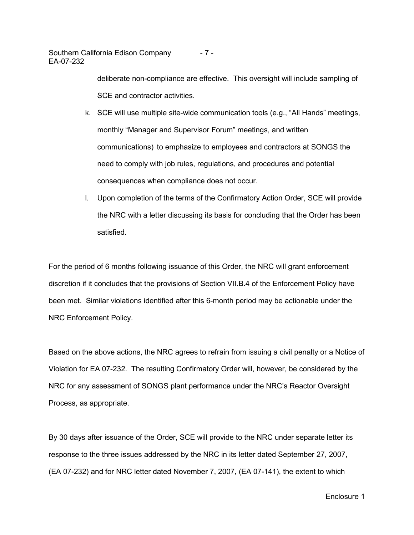Southern California Edison Company EA-07-232 - 7 -

> deliberate non-compliance are effective. This oversight will include sampling of SCE and contractor activities.

- k. SCE will use multiple site-wide communication tools (e.g., "All Hands" meetings, monthly "Manager and Supervisor Forum" meetings, and written communications) to emphasize to employees and contractors at SONGS the need to comply with job rules, regulations, and procedures and potential consequences when compliance does not occur.
- l. Upon completion of the terms of the Confirmatory Action Order, SCE will provide the NRC with a letter discussing its basis for concluding that the Order has been satisfied.

For the period of 6 months following issuance of this Order, the NRC will grant enforcement discretion if it concludes that the provisions of Section VII.B.4 of the Enforcement Policy have been met. Similar violations identified after this 6-month period may be actionable under the NRC Enforcement Policy.

Based on the above actions, the NRC agrees to refrain from issuing a civil penalty or a Notice of Violation for EA 07-232. The resulting Confirmatory Order will, however, be considered by the NRC for any assessment of SONGS plant performance under the NRC's Reactor Oversight Process, as appropriate.

By 30 days after issuance of the Order, SCE will provide to the NRC under separate letter its response to the three issues addressed by the NRC in its letter dated September 27, 2007, (EA 07-232) and for NRC letter dated November 7, 2007, (EA 07-141), the extent to which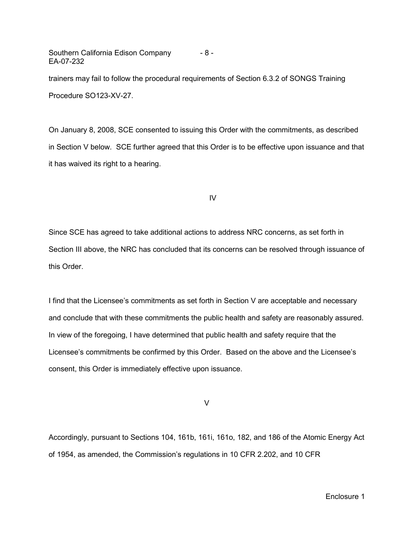Southern California Edison Company EA-07-232 - 8 -

trainers may fail to follow the procedural requirements of Section 6.3.2 of SONGS Training Procedure SO123-XV-27.

On January 8, 2008, SCE consented to issuing this Order with the commitments, as described in Section V below. SCE further agreed that this Order is to be effective upon issuance and that it has waived its right to a hearing.

IV

Since SCE has agreed to take additional actions to address NRC concerns, as set forth in Section III above, the NRC has concluded that its concerns can be resolved through issuance of this Order.

I find that the Licensee's commitments as set forth in Section V are acceptable and necessary and conclude that with these commitments the public health and safety are reasonably assured. In view of the foregoing, I have determined that public health and safety require that the Licensee's commitments be confirmed by this Order. Based on the above and the Licensee's consent, this Order is immediately effective upon issuance.

V

Accordingly, pursuant to Sections 104, 161b, 161i, 161o, 182, and 186 of the Atomic Energy Act of 1954, as amended, the Commission's regulations in 10 CFR 2.202, and 10 CFR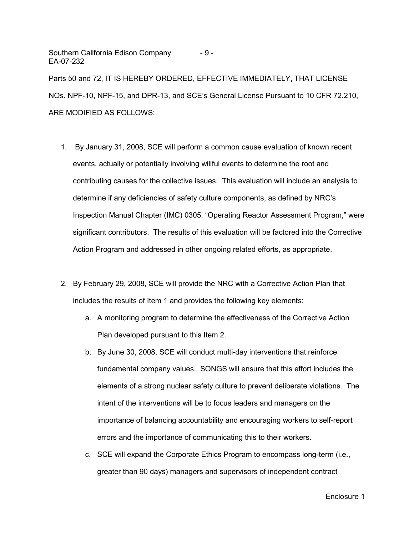Southern California Edison Company EA-07-232 - 9 -

Parts 50 and 72, IT IS HEREBY ORDERED, EFFECTIVE IMMEDIATELY, THAT LICENSE NOs. NPF-10, NPF-15, and DPR-13, and SCE's General License Pursuant to 10 CFR 72.210, ARE MODIFIED AS FOLLOWS:

- 1. By January 31, 2008, SCE will perform a common cause evaluation of known recent events, actually or potentially involving willful events to determine the root and contributing causes for the collective issues. This evaluation will include an analysis to determine if any deficiencies of safety culture components, as defined by NRC's Inspection Manual Chapter (IMC) 0305, "Operating Reactor Assessment Program," were significant contributors. The results of this evaluation will be factored into the Corrective Action Program and addressed in other ongoing related efforts, as appropriate.
- 2. By February 29, 2008, SCE will provide the NRC with a Corrective Action Plan that includes the results of Item 1 and provides the following key elements:
	- a. A monitoring program to determine the effectiveness of the Corrective Action Plan developed pursuant to this Item 2.
	- b. By June 30, 2008, SCE will conduct multi-day interventions that reinforce fundamental company values. SONGS will ensure that this effort includes the elements of a strong nuclear safety culture to prevent deliberate violations. The intent of the interventions will be to focus leaders and managers on the importance of balancing accountability and encouraging workers to self-report errors and the importance of communicating this to their workers.
	- c. SCE will expand the Corporate Ethics Program to encompass long-term (i.e., greater than 90 days) managers and supervisors of independent contract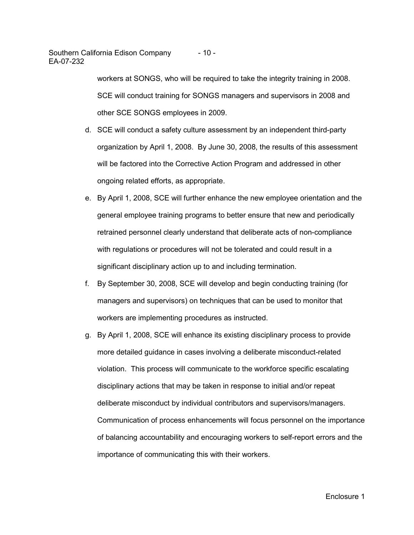Southern California Edison Company - 10 - EA-07-232

> workers at SONGS, who will be required to take the integrity training in 2008. SCE will conduct training for SONGS managers and supervisors in 2008 and other SCE SONGS employees in 2009.

- d. SCE will conduct a safety culture assessment by an independent third-party organization by April 1, 2008. By June 30, 2008, the results of this assessment will be factored into the Corrective Action Program and addressed in other ongoing related efforts, as appropriate.
- e. By April 1, 2008, SCE will further enhance the new employee orientation and the general employee training programs to better ensure that new and periodically retrained personnel clearly understand that deliberate acts of non-compliance with regulations or procedures will not be tolerated and could result in a significant disciplinary action up to and including termination.
- f. By September 30, 2008, SCE will develop and begin conducting training (for managers and supervisors) on techniques that can be used to monitor that workers are implementing procedures as instructed.
- g. By April 1, 2008, SCE will enhance its existing disciplinary process to provide more detailed guidance in cases involving a deliberate misconduct-related violation. This process will communicate to the workforce specific escalating disciplinary actions that may be taken in response to initial and/or repeat deliberate misconduct by individual contributors and supervisors/managers. Communication of process enhancements will focus personnel on the importance of balancing accountability and encouraging workers to self-report errors and the importance of communicating this with their workers.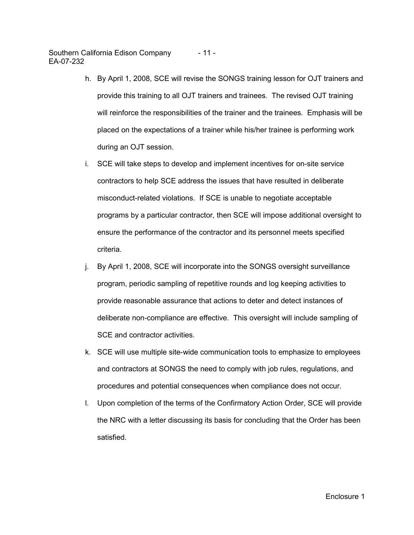Southern California Edison Company - 11 - EA-07-232

- h. By April 1, 2008, SCE will revise the SONGS training lesson for OJT trainers and provide this training to all OJT trainers and trainees. The revised OJT training will reinforce the responsibilities of the trainer and the trainees. Emphasis will be placed on the expectations of a trainer while his/her trainee is performing work during an OJT session.
- i. SCE will take steps to develop and implement incentives for on-site service contractors to help SCE address the issues that have resulted in deliberate misconduct-related violations. If SCE is unable to negotiate acceptable programs by a particular contractor, then SCE will impose additional oversight to ensure the performance of the contractor and its personnel meets specified criteria.
- j. By April 1, 2008, SCE will incorporate into the SONGS oversight surveillance program, periodic sampling of repetitive rounds and log keeping activities to provide reasonable assurance that actions to deter and detect instances of deliberate non-compliance are effective. This oversight will include sampling of SCE and contractor activities.
- k. SCE will use multiple site-wide communication tools to emphasize to employees and contractors at SONGS the need to comply with job rules, regulations, and procedures and potential consequences when compliance does not occur.
- l. Upon completion of the terms of the Confirmatory Action Order, SCE will provide the NRC with a letter discussing its basis for concluding that the Order has been satisfied.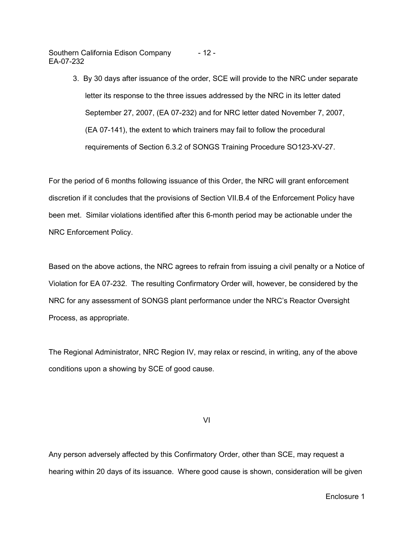Southern California Edison Company EA-07-232 - 12 -

> 3. By 30 days after issuance of the order, SCE will provide to the NRC under separate letter its response to the three issues addressed by the NRC in its letter dated September 27, 2007, (EA 07-232) and for NRC letter dated November 7, 2007, (EA 07-141), the extent to which trainers may fail to follow the procedural requirements of Section 6.3.2 of SONGS Training Procedure SO123-XV-27.

For the period of 6 months following issuance of this Order, the NRC will grant enforcement discretion if it concludes that the provisions of Section VII.B.4 of the Enforcement Policy have been met. Similar violations identified after this 6-month period may be actionable under the NRC Enforcement Policy.

Based on the above actions, the NRC agrees to refrain from issuing a civil penalty or a Notice of Violation for EA 07-232. The resulting Confirmatory Order will, however, be considered by the NRC for any assessment of SONGS plant performance under the NRC's Reactor Oversight Process, as appropriate.

The Regional Administrator, NRC Region IV, may relax or rescind, in writing, any of the above conditions upon a showing by SCE of good cause.

VI

Any person adversely affected by this Confirmatory Order, other than SCE, may request a hearing within 20 days of its issuance. Where good cause is shown, consideration will be given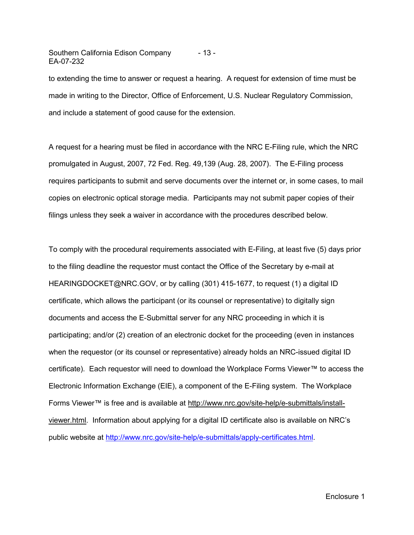Southern California Edison Company - 13 - EA-07-232

to extending the time to answer or request a hearing. A request for extension of time must be made in writing to the Director, Office of Enforcement, U.S. Nuclear Regulatory Commission, and include a statement of good cause for the extension.

A request for a hearing must be filed in accordance with the NRC E-Filing rule, which the NRC promulgated in August, 2007, 72 Fed. Reg. 49,139 (Aug. 28, 2007). The E-Filing process requires participants to submit and serve documents over the internet or, in some cases, to mail copies on electronic optical storage media. Participants may not submit paper copies of their filings unless they seek a waiver in accordance with the procedures described below.

To comply with the procedural requirements associated with E-Filing, at least five (5) days prior to the filing deadline the requestor must contact the Office of the Secretary by e-mail at HEARINGDOCKET@NRC.GOV, or by calling (301) 415-1677, to request (1) a digital ID certificate, which allows the participant (or its counsel or representative) to digitally sign documents and access the E-Submittal server for any NRC proceeding in which it is participating; and/or (2) creation of an electronic docket for the proceeding (even in instances when the requestor (or its counsel or representative) already holds an NRC-issued digital ID certificate). Each requestor will need to download the Workplace Forms Viewer™ to access the Electronic Information Exchange (EIE), a component of the E-Filing system. The Workplace Forms Viewer™ is free and is available at http://www.nrc.gov/site-help/e-submittals/installviewer.html. Information about applying for a digital ID certificate also is available on NRC's public website at http://www.nrc.gov/site-help/e-submittals/apply-certificates.html.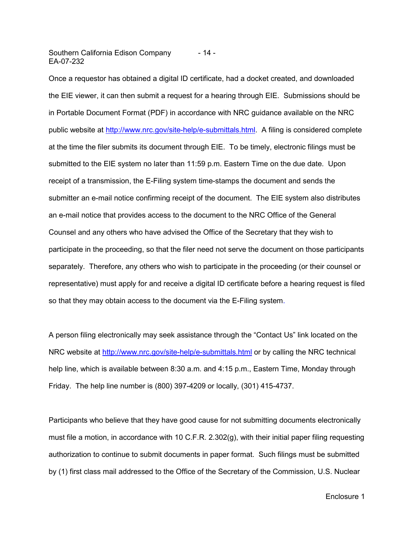Southern California Edison Company - 14 - EA-07-232

Once a requestor has obtained a digital ID certificate, had a docket created, and downloaded the EIE viewer, it can then submit a request for a hearing through EIE. Submissions should be in Portable Document Format (PDF) in accordance with NRC guidance available on the NRC public website at http://www.nrc.gov/site-help/e-submittals.html. A filing is considered complete at the time the filer submits its document through EIE. To be timely, electronic filings must be submitted to the EIE system no later than 11:59 p.m. Eastern Time on the due date. Upon receipt of a transmission, the E-Filing system time-stamps the document and sends the submitter an e-mail notice confirming receipt of the document. The EIE system also distributes an e-mail notice that provides access to the document to the NRC Office of the General Counsel and any others who have advised the Office of the Secretary that they wish to participate in the proceeding, so that the filer need not serve the document on those participants separately. Therefore, any others who wish to participate in the proceeding (or their counsel or representative) must apply for and receive a digital ID certificate before a hearing request is filed so that they may obtain access to the document via the E-Filing system.

A person filing electronically may seek assistance through the "Contact Us" link located on the NRC website at http://www.nrc.gov/site-help/e-submittals.html or by calling the NRC technical help line, which is available between 8:30 a.m. and 4:15 p.m., Eastern Time, Monday through Friday. The help line number is (800) 397-4209 or locally, (301) 415-4737.

Participants who believe that they have good cause for not submitting documents electronically must file a motion, in accordance with 10 C.F.R. 2.302(g), with their initial paper filing requesting authorization to continue to submit documents in paper format. Such filings must be submitted by (1) first class mail addressed to the Office of the Secretary of the Commission, U.S. Nuclear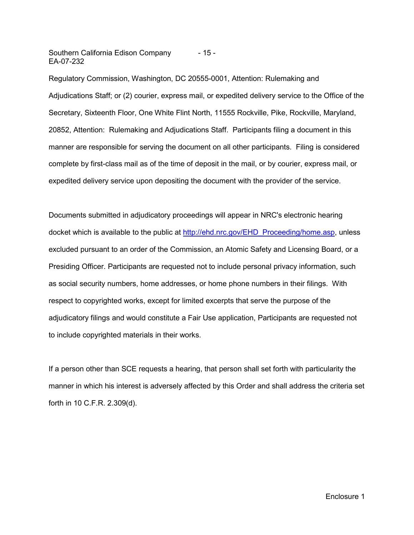Southern California Edison Company - 15 - EA-07-232

Regulatory Commission, Washington, DC 20555-0001, Attention: Rulemaking and Adjudications Staff; or (2) courier, express mail, or expedited delivery service to the Office of the Secretary, Sixteenth Floor, One White Flint North, 11555 Rockville, Pike, Rockville, Maryland, 20852, Attention: Rulemaking and Adjudications Staff. Participants filing a document in this manner are responsible for serving the document on all other participants. Filing is considered complete by first-class mail as of the time of deposit in the mail, or by courier, express mail, or expedited delivery service upon depositing the document with the provider of the service.

Documents submitted in adjudicatory proceedings will appear in NRC's electronic hearing docket which is available to the public at http://ehd.nrc.gov/EHD\_Proceeding/home.asp, unless excluded pursuant to an order of the Commission, an Atomic Safety and Licensing Board, or a Presiding Officer. Participants are requested not to include personal privacy information, such as social security numbers, home addresses, or home phone numbers in their filings. With respect to copyrighted works, except for limited excerpts that serve the purpose of the adjudicatory filings and would constitute a Fair Use application, Participants are requested not to include copyrighted materials in their works.

If a person other than SCE requests a hearing, that person shall set forth with particularity the manner in which his interest is adversely affected by this Order and shall address the criteria set forth in 10 C.F.R. 2.309(d).